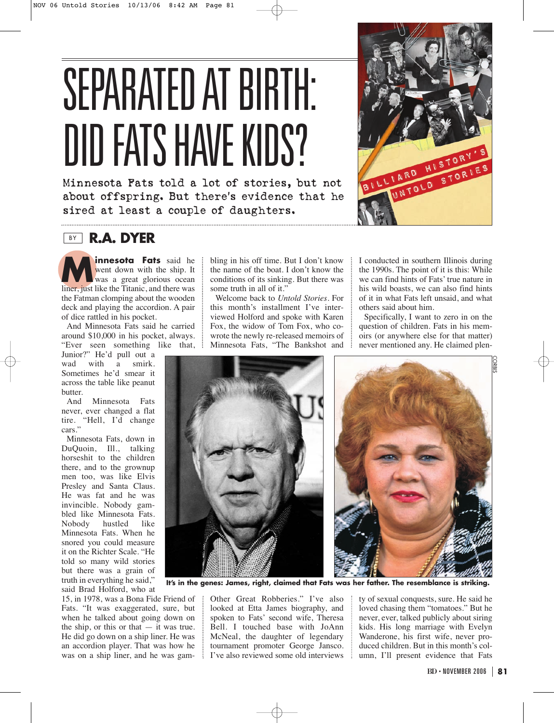## SEPARATED AT BIRTH: DID FATS HAVE KIDS?

Minnesota Fats told a lot of stories, but not about offspring. But there's evidence that he sired at least a couple of daughters.

## **BY R.A. DYER**

**innesota Fats** said he went down with the ship. It was a great glorious ocean liner, just like the Titanic, and there was the Fatman clomping about the wooden deck and playing the accordion. A pair of dice rattled in his pocket.

And Minnesota Fats said he carried around \$10,000 in his pocket, always. "Ever seen something like that,

Junior?" He'd pull out a wad with a smirk. Sometimes he'd smear it across the table like peanut butter.

And Minnesota Fats never, ever changed a flat tire. "Hell, I'd change cars."

Minnesota Fats, down in DuQuoin, Ill., talking horseshit to the children there, and to the grownup men too, was like Elvis Presley and Santa Claus. He was fat and he was invincible. Nobody gambled like Minnesota Fats. Nobody hustled like Minnesota Fats. When he snored you could measure it on the Richter Scale. "He told so many wild stories but there was a grain of truth in everything he said," said Brad Holford, who at

15, in 1978, was a Bona Fide Friend of Fats. "It was exaggerated, sure, but when he talked about going down on the ship, or this or that — it was true. He did go down on a ship liner. He was an accordion player. That was how he was on a ship liner, and he was gambling in his off time. But I don't know the name of the boat. I don't know the conditions of its sinking. But there was some truth in all of it."

Welcome back to *Untold Stories*. For this month's installment I've interviewed Holford and spoke with Karen Fox, the widow of Tom Fox, who cowrote the newly re-released memoirs of Minnesota Fats, "The Bankshot and

I conducted in southern Illinois during the 1990s. The point of it is this: While we can find hints of Fats' true nature in his wild boasts, we can also find hints of it in what Fats left unsaid, and what others said about him.

Specifically, I want to zero in on the question of children. Fats in his memoirs (or anywhere else for that matter) never mentioned any. He claimed plen-

CORBIS



**It's in the genes: James, right, claimed that Fats was her father. The resemblance is striking.**

Other Great Robberies." I've also looked at Etta James biography, and spoken to Fats' second wife, Theresa Bell. I touched base with JoAnn McNeal, the daughter of legendary tournament promoter George Jansco. I've also reviewed some old interviews

ty of sexual conquests, sure. He said he loved chasing them "tomatoes." But he never, ever, talked publicly about siring kids. His long marriage with Evelyn Wanderone, his first wife, never produced children. But in this month's column, I'll present evidence that Fats

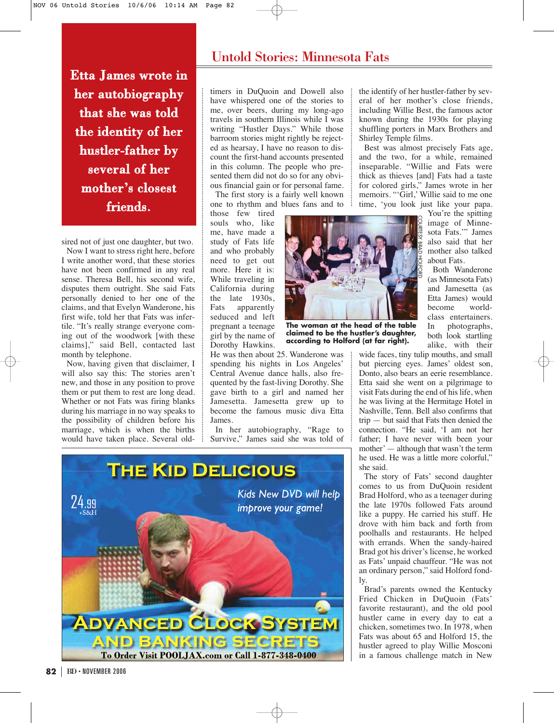Etta James wrote in her autobiography that she was told the identity of her hustler-father by several of her mother's closest friends.

sired not of just one daughter, but two.

Now I want to stress right here, before I write another word, that these stories have not been confirmed in any real sense. Theresa Bell, his second wife, disputes them outright. She said Fats personally denied to her one of the claims, and that Evelyn Wanderone, his first wife, told her that Fats was infertile. "It's really strange everyone coming out of the woodwork [with these claims]," said Bell, contacted last month by telephone.

Now, having given that disclaimer, I will also say this: The stories aren't new, and those in any position to prove them or put them to rest are long dead. Whether or not Fats was firing blanks during his marriage in no way speaks to the possibility of children before his marriage, which is when the births would have taken place. Several old-

## Untold Stories: Minnesota Fats

timers in DuQuoin and Dowell also have whispered one of the stories to me, over beers, during my long-ago travels in southern Illinois while I was writing "Hustler Days." While those barroom stories might rightly be rejected as hearsay, I have no reason to discount the first-hand accounts presented in this column. The people who presented them did not do so for any obvious financial gain or for personal fame.

The first story is a fairly well known one to rhythm and blues fans and to

those few tired souls who, like me, have made a study of Fats life and who probably need to get out more. Here it is: While traveling in California during the late 1930s, Fats apparently seduced and left pregnant a teenage girl by the name of Dorothy Hawkins.



**The woman at the head of the table claimed to be the hustler's daughter, according to Holford (at far right).**

He was then about 25. Wanderone was spending his nights in Los Angeles' Central Avenue dance halls, also frequented by the fast-living Dorothy. She gave birth to a girl and named her Jamesetta. Jamesetta grew up to become the famous music diva Etta James.

In her autobiography, "Rage to Survive," James said she was told of



the identify of her hustler-father by several of her mother's close friends, including Willie Best, the famous actor known during the 1930s for playing shuffling porters in Marx Brothers and Shirley Temple films.

Best was almost precisely Fats age, and the two, for a while, remained inseparable. "Willie and Fats were thick as thieves [and] Fats had a taste for colored girls," James wrote in her memoirs. "'Girl,' Willie said to me one time, 'you look just like your papa.

You're the spitting image of Minnesota Fats.'" James also said that her mother also talked about Fats.

Both Wanderone (as Minnesota Fats) and Jamesetta (as Etta James) would become worldclass entertainers. In photographs, both look startling alike, with their

wide faces, tiny tulip mouths, and small but piercing eyes. James' oldest son, Donto, also bears an eerie resemblance. Etta said she went on a pilgrimage to visit Fats during the end of his life, when he was living at the Hermitage Hotel in Nashville, Tenn. Bell also confirms that trip — but said that Fats then denied the connection. "He said, 'I am not her father; I have never with been your mother'— although that wasn't the term he used. He was a little more colorful," she said.

The story of Fats' second daughter comes to us from DuQuoin resident Brad Holford, who as a teenager during the late 1970s followed Fats around like a puppy. He carried his stuff. He drove with him back and forth from poolhalls and restaurants. He helped with errands. When the sandy-haired Brad got his driver's license, he worked as Fats' unpaid chauffeur. "He was not an ordinary person," said Holford fondly.

Brad's parents owned the Kentucky Fried Chicken in DuQuoin (Fats' favorite restaurant), and the old pool hustler came in every day to eat a chicken, sometimes two. In 1978, when Fats was about 65 and Holford 15, the hustler agreed to play Willie Mosconi in a famous challenge match in New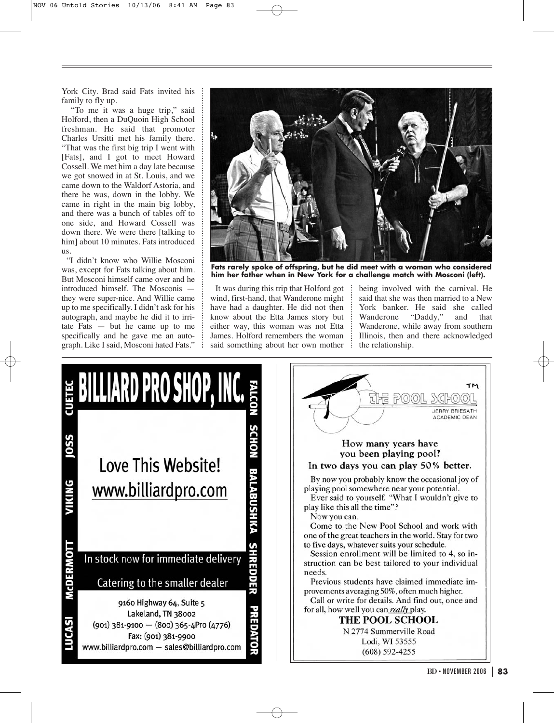York City. Brad said Fats invited his family to fly up.

"To me it was a huge trip," said Holford, then a DuQuoin High School freshman. He said that promoter Charles Ursitti met his family there. "That was the first big trip I went with [Fats], and I got to meet Howard Cossell. We met him a day late because we got snowed in at St. Louis, and we came down to the Waldorf Astoria, and there he was, down in the lobby. We came in right in the main big lobby, and there was a bunch of tables off to one side, and Howard Cossell was down there. We were there [talking to him] about 10 minutes. Fats introduced us.

"I didn't know who Willie Mosconi was, except for Fats talking about him. But Mosconi himself came over and he introduced himself. The Mosconis they were super-nice. And Willie came up to me specifically. I didn't ask for his autograph, and maybe he did it to irritate Fats — but he came up to me specifically and he gave me an autograph. Like I said, Mosconi hated Fats."



**Fats rarely spoke of offspring, but he did meet with a woman who considered him her father when in New York for a challenge match with Mosconi (left).**

It was during this trip that Holford got wind, first-hand, that Wanderone might have had a daughter. He did not then know about the Etta James story but either way, this woman was not Etta James. Holford remembers the woman said something about her own mother being involved with the carnival. He said that she was then married to a New York banker. He said she called Wanderone "Daddy," and that Wanderone, while away from southern Illinois, then and there acknowledged the relationship.